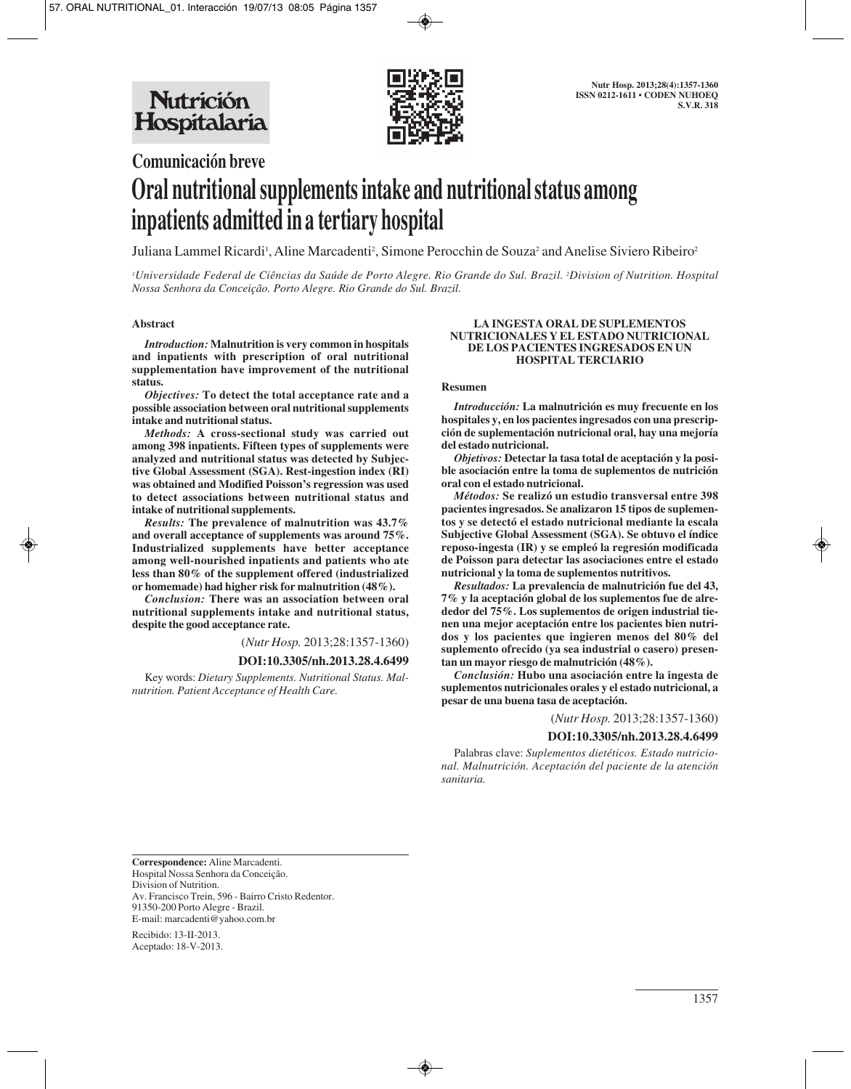

# **Comunicación breve Oral nutritional supplements intake and nutritional status among inpatients admitted in a tertiary hospital**

Juliana Lammel Ricardi<sup>1</sup>, Aline Marcadenti<sup>2</sup>, Simone Perocchin de Souza<sup>2</sup> and Anelise Siviero Ribeiro<sup>2</sup>

*1 Universidade Federal de Ciências da Saúde de Porto Alegre. Rio Grande do Sul. Brazil. 2 Division of Nutrition. Hospital Nossa Senhora da Conceição. Porto Alegre. Rio Grande do Sul. Brazil.*

## **Abstract**

*Introduction:* **Malnutrition is very common in hospitals and inpatients with prescription of oral nutritional supplementation have improvement of the nutritional status.** 

*Objectives:* **To detect the total acceptance rate and a possible association between oral nutritional supplements intake and nutritional status.** 

*Methods:* **A cross-sectional study was carried out among 398 inpatients. Fifteen types of supplements were analyzed and nutritional status was detected by Subjective Global Assessment (SGA). Rest-ingestion index (RI) was obtained and Modified Poisson's regression was used to detect associations between nutritional status and intake of nutritional supplements.** 

*Results:* **The prevalence of malnutrition was 43.7% and overall acceptance of supplements was around 75%. Industrialized supplements have better acceptance among well-nourished inpatients and patients who ate less than 80% of the supplement offered (industrialized or homemade) had higher risk for malnutrition (48%).** 

*Conclusion:* **There was an association between oral nutritional supplements intake and nutritional status, despite the good acceptance rate.**

(*Nutr Hosp.* 2013;28:1357-1360)

#### **DOI:10.3305/nh.2013.28.4.6499**

Key words: *Dietary Supplements. Nutritional Status. Malnutrition. Patient Acceptance of Health Care.*

#### **LA INGESTA ORAL DE SUPLEMENTOS NUTRICIONALES Y EL ESTADO NUTRICIONAL DE LOS PACIENTES INGRESADOS EN UN HOSPITAL TERCIARIO**

#### **Resumen**

*Introducción:* **La malnutrición es muy frecuente en los hospitales y, en los pacientes ingresados con una prescripción de suplementación nutricional oral, hay una mejoría del estado nutricional.** 

*Objetivos:* **Detectar la tasa total de aceptación y la posible asociación entre la toma de suplementos de nutrición oral con el estado nutricional.** 

*Métodos:* **Se realizó un estudio transversal entre 398 pacientes ingresados. Se analizaron 15 tipos de suplementos y se detectó el estado nutricional mediante la escala Subjective Global Assessment (SGA). Se obtuvo el índice reposo-ingesta (IR) y se empleó la regresión modificada de Poisson para detectar las asociaciones entre el estado nutricional y la toma de suplementos nutritivos.** 

*Resultados:* **La prevalencia de malnutrición fue del 43, 7% y la aceptación global de los suplementos fue de alrededor del 75%. Los suplementos de origen industrial tienen una mejor aceptación entre los pacientes bien nutridos y los pacientes que ingieren menos del 80% del suplemento ofrecido (ya sea industrial o casero) presentan un mayor riesgo de malnutrición (48%).** 

*Conclusión:* **Hubo una asociación entre la ingesta de suplementos nutricionales orales y el estado nutricional, a pesar de una buena tasa de aceptación.**

(*Nutr Hosp.* 2013;28:1357-1360)

#### **DOI:10.3305/nh.2013.28.4.6499**

Palabras clave: *Suplementos dietéticos. Estado nutricional. Malnutrición. Aceptación del paciente de la atención sanitaria.*

**Correspondence:** Aline Marcadenti. Hospital Nossa Senhora da Conceição. Division of Nutrition. Av. Francisco Trein, 596 - Bairro Cristo Redentor. 91350-200 Porto Alegre - Brazil. E-mail: marcadenti@yahoo.com.br

Recibido: 13-II-2013. Aceptado: 18-V-2013.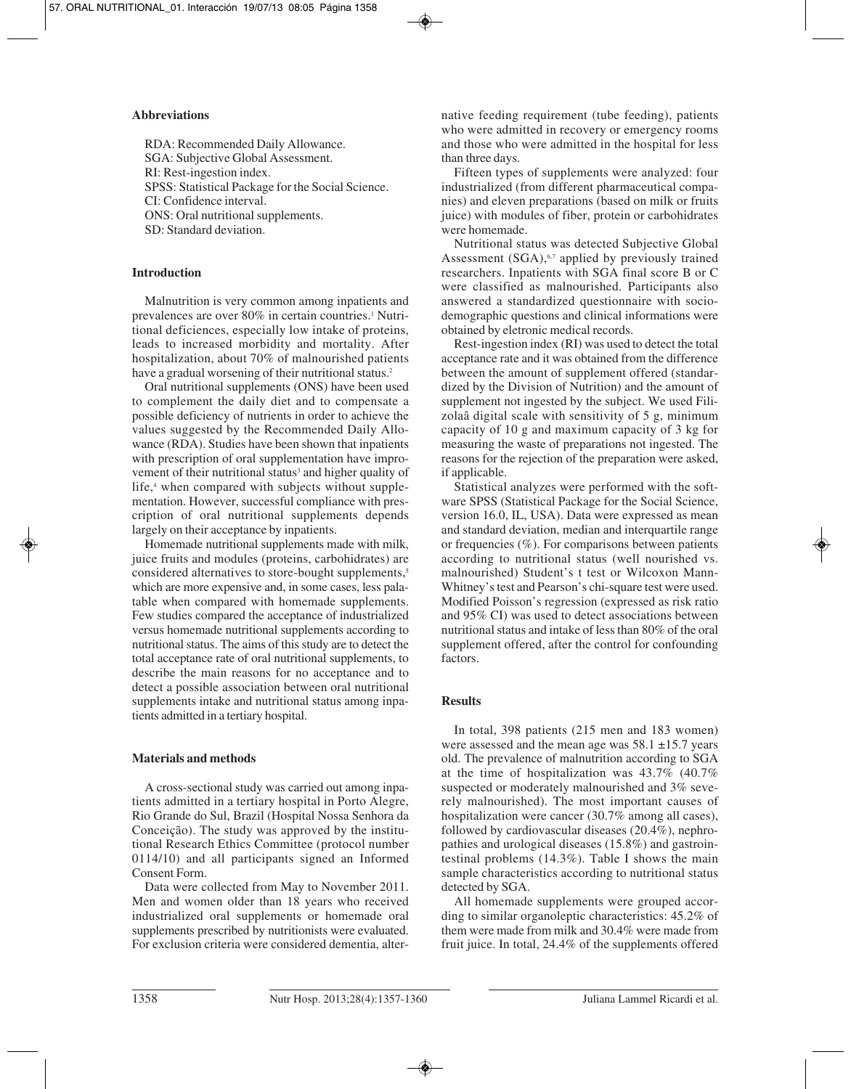# **Abbreviations**

RDA: Recommended Daily Allowance. SGA: Subjective Global Assessment. RI: Rest-ingestion index. SPSS: Statistical Package for the Social Science. CI: Confidence interval. ONS: Oral nutritional supplements. SD: Standard deviation.

# **Introduction**

Malnutrition is very common among inpatients and prevalences are over 80% in certain countries.1 Nutritional deficiences, especially low intake of proteins, leads to increased morbidity and mortality. After hospitalization, about 70% of malnourished patients have a gradual worsening of their nutritional status.<sup>2</sup>

Oral nutritional supplements (ONS) have been used to complement the daily diet and to compensate a possible deficiency of nutrients in order to achieve the values suggested by the Recommended Daily Allowance (RDA). Studies have been shown that inpatients with prescription of oral supplementation have improvement of their nutritional status<sup>3</sup> and higher quality of life,<sup>4</sup> when compared with subjects without supplementation. However, successful compliance with prescription of oral nutritional supplements depends largely on their acceptance by inpatients.

Homemade nutritional supplements made with milk, juice fruits and modules (proteins, carbohidrates) are considered alternatives to store-bought supplements,<sup>5</sup> which are more expensive and, in some cases, less palatable when compared with homemade supplements. Few studies compared the acceptance of industrialized versus homemade nutritional supplements according to nutritional status. The aims of this study are to detect the total acceptance rate of oral nutritional supplements, to describe the main reasons for no acceptance and to detect a possible association between oral nutritional supplements intake and nutritional status among inpatients admitted in a tertiary hospital.

# **Materials and methods**

A cross-sectional study was carried out among inpatients admitted in a tertiary hospital in Porto Alegre, Rio Grande do Sul, Brazil (Hospital Nossa Senhora da Conceição). The study was approved by the institutional Research Ethics Committee (protocol number 0114/10) and all participants signed an Informed Consent Form.

Data were collected from May to November 2011. Men and women older than 18 years who received industrialized oral supplements or homemade oral supplements prescribed by nutritionists were evaluated. For exclusion criteria were considered dementia, alternative feeding requirement (tube feeding), patients who were admitted in recovery or emergency rooms and those who were admitted in the hospital for less than three days.

Fifteen types of supplements were analyzed: four industrialized (from different pharmaceutical companies) and eleven preparations (based on milk or fruits juice) with modules of fiber, protein or carbohidrates were homemade.

Nutritional status was detected Subjective Global Assessment  $(SGA)$ ,<sup> $6,7$ </sup> applied by previously trained researchers. Inpatients with SGA final score B or C were classified as malnourished. Participants also answered a standardized questionnaire with sociodemographic questions and clinical informations were obtained by eletronic medical records.

Rest-ingestion index (RI) was used to detect the total acceptance rate and it was obtained from the difference between the amount of supplement offered (standardized by the Division of Nutrition) and the amount of supplement not ingested by the subject. We used Filizolaâ digital scale with sensitivity of 5 g, minimum capacity of 10 g and maximum capacity of 3 kg for measuring the waste of preparations not ingested. The reasons for the rejection of the preparation were asked, if applicable.

Statistical analyzes were performed with the software SPSS (Statistical Package for the Social Science, version 16.0, IL, USA). Data were expressed as mean and standard deviation, median and interquartile range or frequencies (%). For comparisons between patients according to nutritional status (well nourished vs. malnourished) Student's t test or Wilcoxon Mann-Whitney's test and Pearson's chi-square test were used. Modified Poisson's regression (expressed as risk ratio and 95% CI) was used to detect associations between nutritional status and intake of less than 80% of the oral supplement offered, after the control for confounding factors.

# **Results**

In total, 398 patients (215 men and 183 women) were assessed and the mean age was  $58.1 \pm 15.7$  years old. The prevalence of malnutrition according to SGA at the time of hospitalization was 43.7% (40.7% suspected or moderately malnourished and 3% severely malnourished). The most important causes of hospitalization were cancer (30.7% among all cases), followed by cardiovascular diseases (20.4%), nephropathies and urological diseases (15.8%) and gastrointestinal problems (14.3%). Table I shows the main sample characteristics according to nutritional status detected by SGA.

All homemade supplements were grouped according to similar organoleptic characteristics: 45.2% of them were made from milk and 30.4% were made from fruit juice. In total, 24.4% of the supplements offered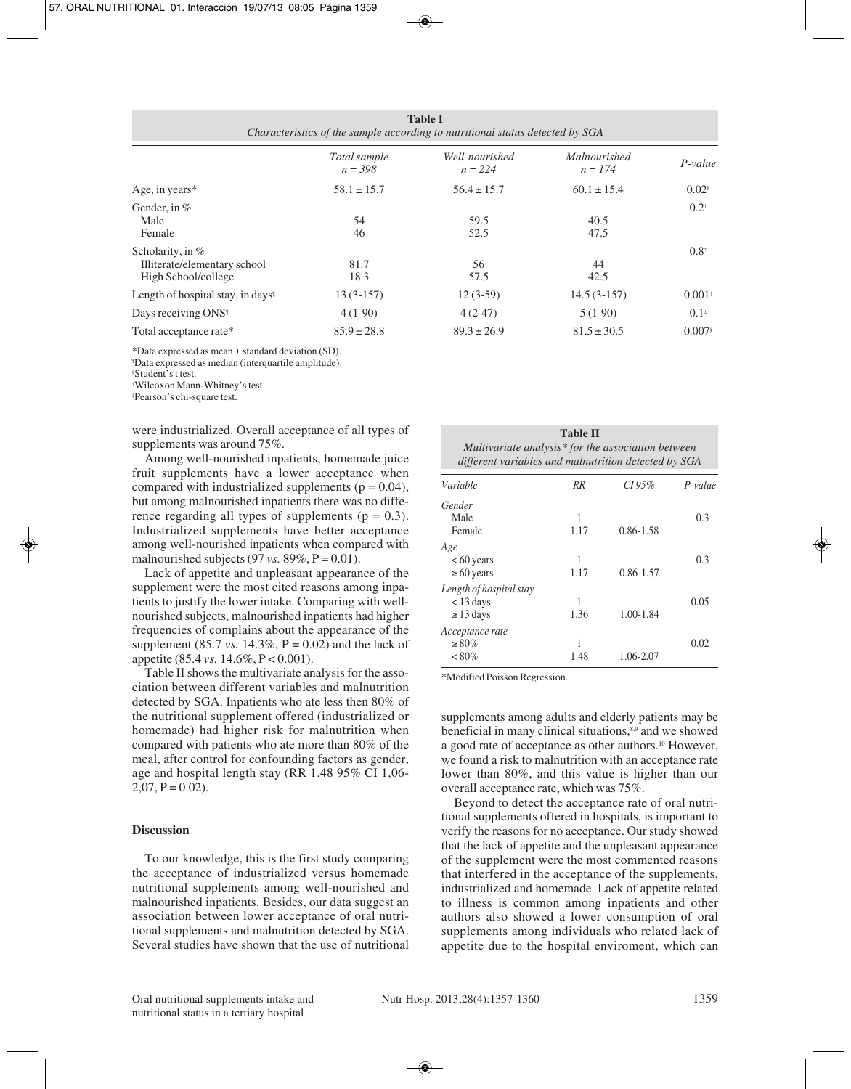| <b>Table I</b><br>Characteristics of the sample according to nutritional status detected by SGA |                           |                             |                                  |                     |  |  |
|-------------------------------------------------------------------------------------------------|---------------------------|-----------------------------|----------------------------------|---------------------|--|--|
|                                                                                                 | Total sample<br>$n = 398$ | Well-nourished<br>$n = 224$ | <i>Malnourished</i><br>$n = 174$ | $P-value$           |  |  |
| Age, in years $*$                                                                               | $58.1 \pm 15.7$           | $56.4 \pm 15.7$             | $60.1 \pm 15.4$                  | $0.02$ <sup>§</sup> |  |  |
| Gender, in $%$<br>Male<br>Female                                                                | 54<br>46                  | 59.5<br>52.5                | 40.5<br>47.5                     | $0.2^{\dagger}$     |  |  |
| Scholarity, in $%$<br>Illiterate/elementary school<br>High School/college                       | 81.7<br>18.3              | 56<br>57.5                  | 44<br>42.5                       | $0.8^{\dagger}$     |  |  |
| Length of hospital stay, in days <sup>1</sup>                                                   | $13(3-157)$               | $12(3-59)$                  | $14.5(3-157)$                    | $0.001*$            |  |  |
| Days receiving ONS <sup>1</sup>                                                                 | $4(1-90)$                 | $4(2-47)$                   | $5(1-90)$                        | $0.1^*$             |  |  |

Total acceptance rate\* 85.9  $\pm 28.8$  89.3  $\pm 26.9$  81.5  $\pm 30.5$  0.007§

\*Data expressed as mean ± standard deviation (SD).

¶ Data expressed as median (interquartile amplitude).

§ Student's t test.

† Wilcoxon Mann-Whitney's test.

‡ Pearson's chi-square test.

were industrialized. Overall acceptance of all types of supplements was around 75%.

Among well-nourished inpatients, homemade juice fruit supplements have a lower acceptance when compared with industrialized supplements ( $p = 0.04$ ), but among malnourished inpatients there was no difference regarding all types of supplements ( $p = 0.3$ ). Industrialized supplements have better acceptance among well-nourished inpatients when compared with malnourished subjects (97 *vs.* 89%,  $P = 0.01$ ).

Lack of appetite and unpleasant appearance of the supplement were the most cited reasons among inpatients to justify the lower intake. Comparing with wellnourished subjects, malnourished inpatients had higher frequencies of complains about the appearance of the supplement (85.7 *vs.* 14.3%,  $P = 0.02$ ) and the lack of appetite (85.4 *vs.* 14.6%, P < 0.001).

Table II shows the multivariate analysis for the association between different variables and malnutrition detected by SGA. Inpatients who ate less then 80% of the nutritional supplement offered (industrialized or homemade) had higher risk for malnutrition when compared with patients who ate more than 80% of the meal, after control for confounding factors as gender, age and hospital length stay (RR 1.48 95% CI 1,06-  $2,07, P = 0.02$ .

### **Discussion**

To our knowledge, this is the first study comparing the acceptance of industrialized versus homemade nutritional supplements among well-nourished and malnourished inpatients. Besides, our data suggest an association between lower acceptance of oral nutritional supplements and malnutrition detected by SGA. Several studies have shown that the use of nutritional

| <b>Table II</b>                                      |  |
|------------------------------------------------------|--|
| Multivariate analysis* for the association between   |  |
| different variables and malnutrition detected by SGA |  |

| Variable                | RR   | CI 95%        | $P-value$ |
|-------------------------|------|---------------|-----------|
| Gender                  |      |               |           |
| Male                    | 1    |               | 0.3       |
| Female                  | 1.17 | $0.86 - 1.58$ |           |
| Age                     |      |               |           |
| $<60$ years             | 1    |               | 0.3       |
| $\geq 60$ years         | 1.17 | $0.86 - 1.57$ |           |
| Length of hospital stay |      |               |           |
| $<$ 13 days             | 1    |               | 0.05      |
| $\geq$ 13 days          | 1.36 | 1.00-1.84     |           |
| Acceptance rate         |      |               |           |
| $\geq 80\%$             | 1    |               | 0.02      |
| $< 80\%$                | 1.48 | 1.06-2.07     |           |

\*Modified Poisson Regression.

supplements among adults and elderly patients may be beneficial in many clinical situations,<sup>8,9</sup> and we showed a good rate of acceptance as other authors.10 However, we found a risk to malnutrition with an acceptance rate lower than 80%, and this value is higher than our overall acceptance rate, which was 75%.

Beyond to detect the acceptance rate of oral nutritional supplements offered in hospitals, is important to verify the reasons for no acceptance. Our study showed that the lack of appetite and the unpleasant appearance of the supplement were the most commented reasons that interfered in the acceptance of the supplements, industrialized and homemade. Lack of appetite related to illness is common among inpatients and other authors also showed a lower consumption of oral supplements among individuals who related lack of appetite due to the hospital enviroment, which can